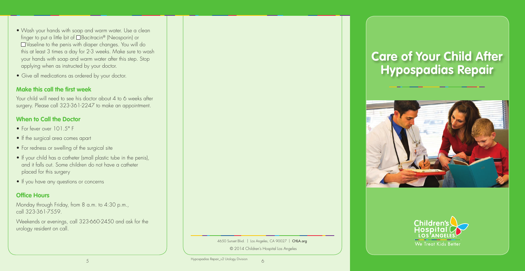- Wash your hands with soap and warm water. Use a clean finger to put a little bit of Bacitracin® (Neosporin) or Vaseline to the penis with diaper changes. You will do this at least 3 times a day for 2-3 weeks. Make sure to wash your hands with soap and warm water after this step. Stop applying when as instructed by your doctor.
- Give all medications as ordered by your doctor.

### **Make this call the first week**

- For fever over 101.5° F
- If the surgical area comes apart
- For redness or swelling of the surgical site
- If your child has a catheter (small plastic tube in the penis), and it falls out. Some children do not have a catheter placed for this surgery
- If you have any questions or concerns

Your child will need to see his doctor about 4 to 6 weeks after surgery. Please call 323-361-2247 to make an appointment.

#### Hypospadias Repair\_v2 Urology Division 5 6



## **When to Call the Doctor**

# **Office Hours**

Monday through Friday, from 8 a.m. to 4:30 p.m., call 323-361-7559.

Weekends or evenings, call 323-660-2450 and ask for the urology resident on call.



© 2014 Children's Hospital Los Angeles

# **Care of Your Child After Hypospadias Repair**